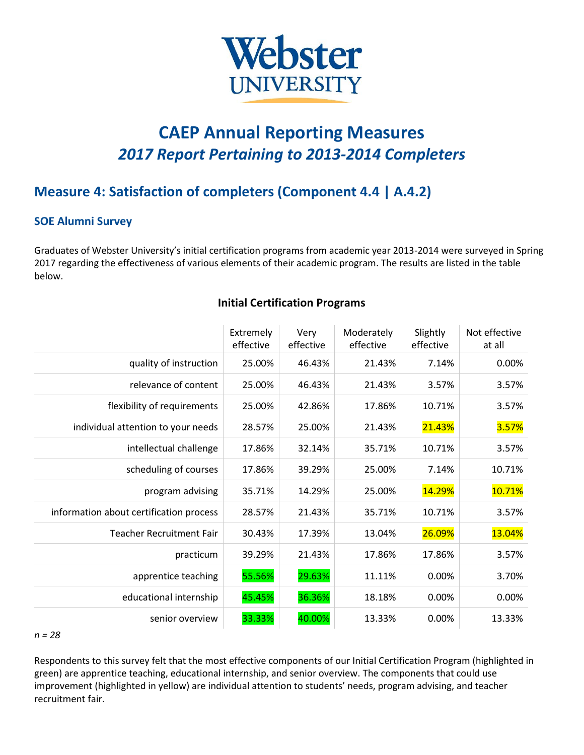

# **CAEP Annual Reporting Measures** *2017 Report Pertaining to 2013-2014 Completers*

## **Measure 4: Satisfaction of completers (Component 4.4 | A.4.2)**

#### **SOE Alumni Survey**

Graduates of Webster University's initial certification programs from academic year 2013-2014 were surveyed in Spring 2017 regarding the effectiveness of various elements of their academic program. The results are listed in the table below.

|                                         | Extremely<br>effective | Very<br>effective | Moderately<br>effective | Slightly<br>effective | Not effective<br>at all |
|-----------------------------------------|------------------------|-------------------|-------------------------|-----------------------|-------------------------|
| quality of instruction                  | 25.00%                 | 46.43%            | 21.43%                  | 7.14%                 | 0.00%                   |
| relevance of content                    | 25.00%                 | 46.43%            | 21.43%                  | 3.57%                 | 3.57%                   |
| flexibility of requirements             | 25.00%                 | 42.86%            | 17.86%                  | 10.71%                | 3.57%                   |
| individual attention to your needs      | 28.57%                 | 25.00%            | 21.43%                  | 21.43%                | 3.57%                   |
| intellectual challenge                  | 17.86%                 | 32.14%            | 35.71%                  | 10.71%                | 3.57%                   |
| scheduling of courses                   | 17.86%                 | 39.29%            | 25.00%                  | 7.14%                 | 10.71%                  |
| program advising                        | 35.71%                 | 14.29%            | 25.00%                  | 14.29%                | 10.71%                  |
| information about certification process | 28.57%                 | 21.43%            | 35.71%                  | 10.71%                | 3.57%                   |
| <b>Teacher Recruitment Fair</b>         | 30.43%                 | 17.39%            | 13.04%                  | 26.09%                | 13.04%                  |
| practicum                               | 39.29%                 | 21.43%            | 17.86%                  | 17.86%                | 3.57%                   |
| apprentice teaching                     | 55.56%                 | 29.63%            | 11.11%                  | 0.00%                 | 3.70%                   |
| educational internship                  | 45.45%                 | 36.36%            | 18.18%                  | 0.00%                 | 0.00%                   |
| senior overview                         | 33.33%                 | 40.00%            | 13.33%                  | 0.00%                 | 13.33%                  |

#### **Initial Certification Programs**

#### *n = 28*

Respondents to this survey felt that the most effective components of our Initial Certification Program (highlighted in green) are apprentice teaching, educational internship, and senior overview. The components that could use improvement (highlighted in yellow) are individual attention to students' needs, program advising, and teacher recruitment fair.